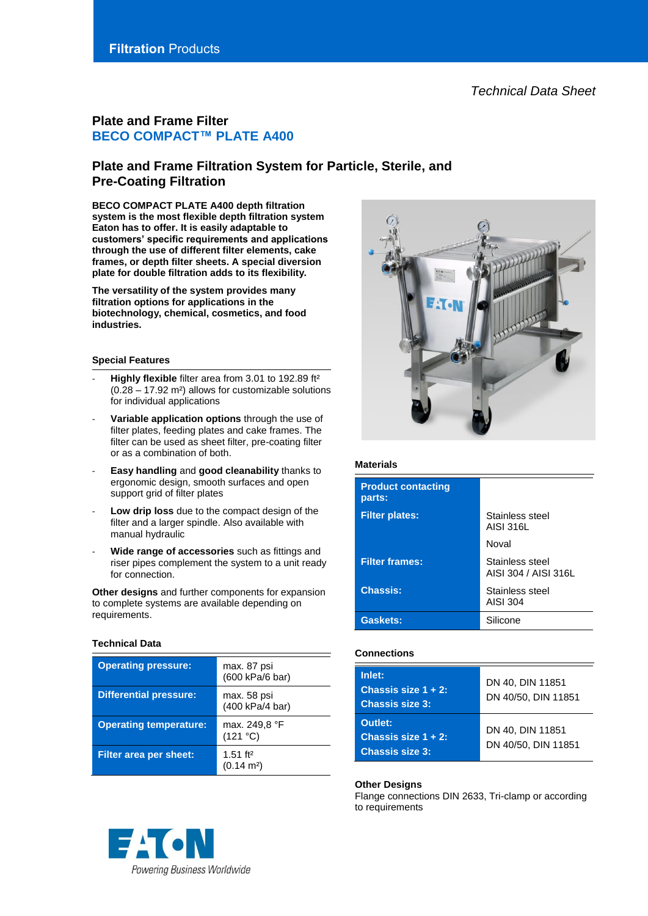# **Plate and Frame Filter BECO COMPACT™ PLATE A400**

# **Plate and Frame Filtration System for Particle, Sterile, and Pre-Coating Filtration**

**BECO COMPACT PLATE A400 depth filtration system is the most flexible depth filtration system Eaton has to offer. It is easily adaptable to customers' specific requirements and applications through the use of different filter elements, cake frames, or depth filter sheets. A special diversion plate for double filtration adds to its flexibility.**

**The versatility of the system provides many filtration options for applications in the biotechnology, chemical, cosmetics, and food industries.**

#### **Special Features**

- **Highly flexible** filter area from 3.01 to 192.89 ft<sup>2</sup>  $(0.28 - 17.92 \text{ m}^2)$  allows for customizable solutions for individual applications
- Variable application options through the use of filter plates, feeding plates and cake frames. The filter can be used as sheet filter, pre-coating filter or as a combination of both.
- **Easy handling** and **good cleanability** thanks to ergonomic design, smooth surfaces and open support grid of filter plates
- Low drip loss due to the compact design of the filter and a larger spindle. Also available with manual hydraulic
- **Wide range of accessories** such as fittings and riser pipes complement the system to a unit ready for connection.

**Other designs** and further components for expansion to complete systems are available depending on requirements.

### **Technical Data**

| <b>Operating pressure:</b>    | max. 87 psi<br>(600 kPa/6 bar)                 |
|-------------------------------|------------------------------------------------|
| <b>Differential pressure:</b> | max. 58 psi<br>(400 kPa/4 bar)                 |
| <b>Operating temperature:</b> | max. 249,8 °F<br>(121 °C)                      |
| <b>Filter area per sheet:</b> | $1.51$ ft <sup>2</sup><br>$(0.14 \text{ m}^2)$ |



#### **Materials**

| <b>Product contacting</b><br>parts: |                                         |
|-------------------------------------|-----------------------------------------|
| <b>Filter plates:</b>               | Stainless steel<br>AISI 316L            |
|                                     | Noval                                   |
| <b>Filter frames:</b>               | Stainless steel<br>AISI 304 / AISI 316L |
| <b>Chassis:</b>                     | Stainless steel<br>AISI 304             |
| Gaskets:                            | Silicone                                |

## **Connections**

| Inlet:<br>Chassis size $1 + 2$ :<br><b>Chassis size 3:</b>  | DN 40, DIN 11851<br>DN 40/50, DIN 11851 |
|-------------------------------------------------------------|-----------------------------------------|
| Outlet:<br>Chassis size $1 + 2$ :<br><b>Chassis size 3:</b> | DN 40, DIN 11851<br>DN 40/50, DIN 11851 |

### **Other Designs**

Flange connections DIN 2633, Tri-clamp or according to requirements

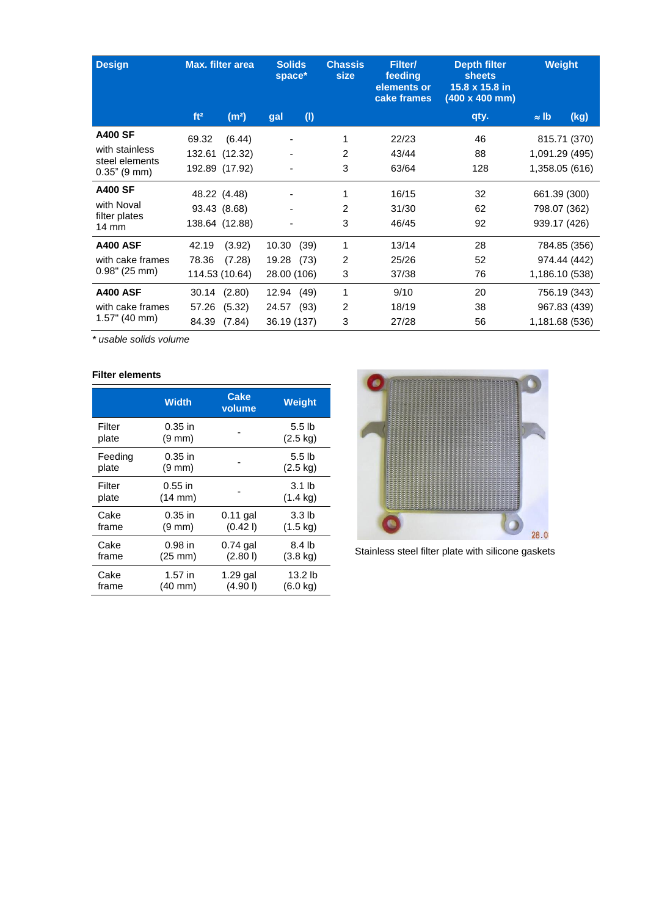| <b>Design</b>                     |                 | <b>Max. filter area</b> | <b>Solids</b><br>space* |      | <b>Chassis</b><br>size | Filter/<br>feeding<br>elements or<br>cake frames | <b>Depth filter</b><br><b>sheets</b><br>15.8 x 15.8 in<br>$(400 \times 400 \text{ mm})$ |                | Weight         |
|-----------------------------------|-----------------|-------------------------|-------------------------|------|------------------------|--------------------------------------------------|-----------------------------------------------------------------------------------------|----------------|----------------|
|                                   | ft <sup>2</sup> | (m <sup>2</sup> )       | gal                     | (1)  |                        |                                                  | qty.                                                                                    | $\approx$ lb   | (kg)           |
| <b>A400 SF</b>                    | 69.32           | (6.44)                  |                         |      | 1                      | 22/23                                            | 46                                                                                      |                | 815.71 (370)   |
| with stainless                    |                 | 132.61 (12.32)          |                         |      | $\overline{2}$         | 43/44                                            | 88                                                                                      | 1,091.29 (495) |                |
| steel elements<br>$0.35$ " (9 mm) |                 | 192.89 (17.92)          |                         |      | 3                      | 63/64                                            | 128                                                                                     | 1,358.05 (616) |                |
| <b>A400 SF</b>                    |                 | 48.22 (4.48)            |                         |      | 1                      | 16/15                                            | 32                                                                                      | 661.39 (300)   |                |
| with Noval                        |                 | 93.43 (8.68)            |                         |      | 2                      | 31/30                                            | 62                                                                                      | 798.07 (362)   |                |
| filter plates<br>$14 \text{ mm}$  |                 | 138.64 (12.88)          |                         |      | 3                      | 46/45                                            | 92                                                                                      | 939.17 (426)   |                |
| <b>A400 ASF</b>                   | 42.19           | (3.92)                  | 10.30                   | (39) | 1                      | 13/14                                            | 28                                                                                      |                | 784.85 (356)   |
| with cake frames                  | 78.36           | (7.28)                  | 19.28                   | (73) | 2                      | 25/26                                            | 52                                                                                      |                | 974.44 (442)   |
| $0.98$ " (25 mm)                  |                 | 114.53 (10.64)          | 28.00 (106)             |      | 3                      | 37/38                                            | 76                                                                                      | 1,186.10 (538) |                |
| <b>A400 ASF</b>                   | 30.14           | (2.80)                  | 12.94                   | (49) | 1                      | 9/10                                             | 20                                                                                      |                | 756.19 (343)   |
| with cake frames                  | 57.26           | (5.32)                  | 24.57                   | (93) | 2                      | 18/19                                            | 38                                                                                      |                | 967.83 (439)   |
| 1.57" (40 mm)                     | 84.39           | (7.84)                  | 36.19 (137)             |      | 3                      | 27/28                                            | 56                                                                                      |                | 1,181.68 (536) |

*\* usable solids volume*

# **Filter elements**

|         | <b>Width</b>      | <b>Cake</b><br>volume | <b>Weight</b>      |
|---------|-------------------|-----------------------|--------------------|
| Filter  | $0.35$ in         |                       | 5.5 <sub>lb</sub>  |
| plate   | $(9 \text{ mm})$  |                       | $(2.5 \text{ kg})$ |
| Feeding | $0.35$ in         |                       | 5.5 <sub>lb</sub>  |
| plate   | $(9 \text{ mm})$  |                       | $(2.5 \text{ kg})$ |
| Filter  | $0.55$ in         |                       | 3.1 <sub>lb</sub>  |
| plate   | $(14 \text{ mm})$ |                       | $(1.4 \text{ kg})$ |
| Cake    | $0.35$ in         | $0.11$ gal            | 3.3 <sub>lb</sub>  |
| frame   | $(9 \text{ mm})$  | (0.421)               | $(1.5 \text{ kg})$ |
| Cake    | $0.98$ in         | $0.74$ gal            | 8.4 lb             |
| frame   | $(25 \text{ mm})$ | (2.801)               | $(3.8 \text{ kg})$ |
| Cake    | $1.57$ in         | 1.29 gal              | 13.2 lb            |
| frame   | $(40 \text{ mm})$ | (4.901)               | $(6.0 \text{ kg})$ |



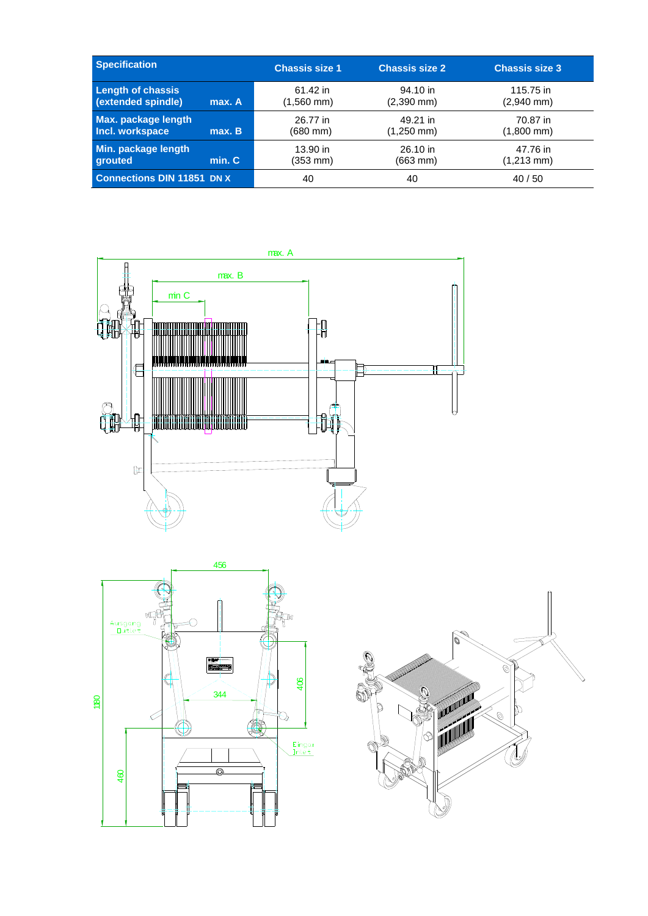| <b>Specification</b>              |        | <b>Chassis size 1</b> | <b>Chassis size 2</b> | <b>Chassis size 3</b> |
|-----------------------------------|--------|-----------------------|-----------------------|-----------------------|
| <b>Length of chassis</b>          | max. A | 61.42 in              | 94.10 in              | 115.75 in             |
| (extended spindle)                |        | (1,560 mm)            | $(2,390$ mm)          | $(2,940$ mm)          |
| Max. package length               | max.B  | 26.77 in              | 49.21 in              | 70.87 in              |
| Incl. workspace                   |        | (680 mm)              | $(1,250$ mm)          | $(1,800 \text{ mm})$  |
| Min. package length               | min. C | 13.90 in              | 26.10 in              | 47.76 in              |
| grouted                           |        | (353 mm)              | $(663 \, \text{mm})$  | $(1,213 \text{ mm})$  |
| <b>Connections DIN 11851 DN X</b> |        | 40                    | 40                    | 40/50                 |